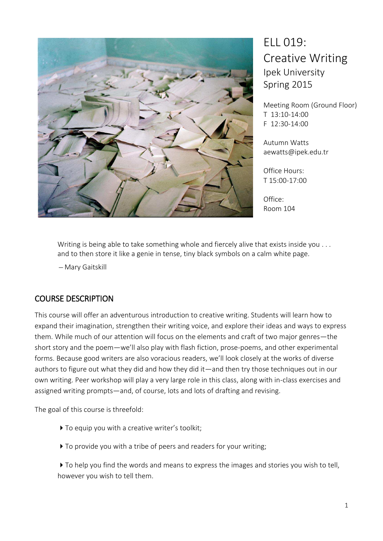

ELL 019: Creative Writing Ipek University Spring 2015

Meeting Room (Ground Floor) T 13:10-14:00 F 12:30-14:00

Autumn Watts aewatts@ipek.edu.tr

Office Hours: T 15:00-17:00

Office: Room 104

Writing is being able to take something whole and fiercely alive that exists inside you ... and to then store it like a genie in tense, tiny black symbols on a calm white page.

̶ Mary Gaitskill

## COURSE DESCRIPTION

This course will offer an adventurous introduction to creative writing. Students will learn how to expand their imagination, strengthen their writing voice, and explore their ideas and ways to express them. While much of our attention will focus on the elements and craft of two major genres—the short story and the poem—we'll also play with flash fiction, prose-poems, and other experimental forms. Because good writers are also voracious readers, we'll look closely at the works of diverse authors to figure out what they did and how they did it—and then try those techniques out in our own writing. Peer workshop will play a very large role in this class, along with in-class exercises and assigned writing prompts—and, of course, lots and lots of drafting and revising.

The goal of this course is threefold:

- ▶ To equip you with a creative writer's toolkit;
- $\triangleright$  To provide you with a tribe of peers and readers for your writing;

 $\triangleright$  To help you find the words and means to express the images and stories you wish to tell, however you wish to tell them.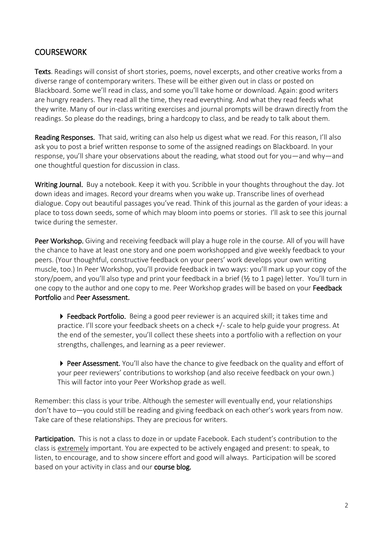## **COURSEWORK**

Texts. Readings will consist of short stories, poems, novel excerpts, and other creative works from a diverse range of contemporary writers. These will be either given out in class or posted on Blackboard. Some we'll read in class, and some you'll take home or download. Again: good writers are hungry readers. They read all the time, they read everything. And what they read feeds what they write. Many of our in-class writing exercises and journal prompts will be drawn directly from the readings. So please do the readings, bring a hardcopy to class, and be ready to talk about them.

Reading Responses. That said, writing can also help us digest what we read. For this reason, I'll also ask you to post a brief written response to some of the assigned readings on Blackboard. In your response, you'll share your observations about the reading, what stood out for you—and why—and one thoughtful question for discussion in class.

Writing Journal. Buy a notebook. Keep it with you. Scribble in your thoughts throughout the day. Jot down ideas and images. Record your dreams when you wake up. Transcribe lines of overhead dialogue. Copy out beautiful passages you've read. Think of this journal as the garden of your ideas: a place to toss down seeds, some of which may bloom into poems or stories. I'll ask to see this journal twice during the semester.

Peer Workshop. Giving and receiving feedback will play a huge role in the course. All of you will have the chance to have at least one story and one poem workshopped and give weekly feedback to your peers. (Your thoughtful, constructive feedback on your peers' work develops your own writing muscle, too.) In Peer Workshop, you'll provide feedback in two ways: you'll mark up your copy of the story/poem, and you'll also type and print your feedback in a brief (1/2 to 1 page) letter. You'll turn in one copy to the author and one copy to me. Peer Workshop grades will be based on your Feedback Portfolio and Peer Assessment.

▶ Feedback Portfolio. Being a good peer reviewer is an acquired skill; it takes time and practice. I'll score your feedback sheets on a check +/- scale to help guide your progress. At the end of the semester, you'll collect these sheets into a portfolio with a reflection on your strengths, challenges, and learning as a peer reviewer.

▶ Peer Assessment. You'll also have the chance to give feedback on the quality and effort of your peer reviewers' contributions to workshop (and also receive feedback on your own.) This will factor into your Peer Workshop grade as well.

Remember: this class is your tribe. Although the semester will eventually end, your relationships don't have to-you could still be reading and giving feedback on each other's work years from now. Take care of these relationships. They are precious for writers.

Participation. This is not a class to doze in or update Facebook. Each student's contribution to the class is extremely important. You are expected to be actively engaged and present: to speak, to listen, to encourage, and to show sincere effort and good will always. Participation will be scored based on your activity in class and our course blog.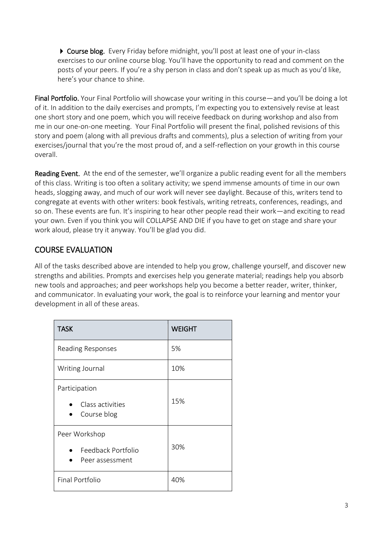Course blog. Every Friday before midnight, you'll post at least one of your in-class exercises to our online course blog. You'll have the opportunity to read and comment on the posts of your peers. If you're a shy person in class and don't speak up as much as you'd like, here's your chance to shine.

Final Portfolio. Your Final Portfolio will showcase your writing in this course — and you'll be doing a lot of it. In addition to the daily exercises and prompts, I'm expecting you to extensively revise at least one short story and one poem, which you will receive feedback on during workshop and also from me in our one-on-one meeting. Your Final Portfolio will present the final, polished revisions of this story and poem (along with all previous drafts and comments), plus a selection of writing from your exercises/journal that you're the most proud of, and a self-reflection on your growth in this course overall.

Reading Event. At the end of the semester, we'll organize a public reading event for all the members of this class. Writing is too often a solitary activity; we spend immense amounts of time in our own heads, slogging away, and much of our work will never see daylight. Because of this, writers tend to congregate at events with other writers: book festivals, writing retreats, conferences, readings, and so on. These events are fun. It's inspiring to hear other people read their work—and exciting to read your own. Even if you think you will COLLAPSE AND DIE if you have to get on stage and share your work aloud, please try it anyway. You'll be glad you did.

## **COURSE EVALUATION**

All of the tasks described above are intended to help you grow, challenge yourself, and discover new strengths and abilities. Prompts and exercises help you generate material; readings help you absorb new tools and approaches; and peer workshops help you become a better reader, writer, thinker, and communicator. In evaluating your work, the goal is to reinforce your learning and mentor your development in all of these areas.

| <b>TASK</b>                                            | <b>WEIGHT</b> |
|--------------------------------------------------------|---------------|
| Reading Responses                                      | 5%            |
| Writing Journal                                        | 10%           |
| Participation<br>Class activities<br>Course blog       | 15%           |
| Peer Workshop<br>Feedback Portfolio<br>Peer assessment | 30%           |
| Final Portfolio                                        | 40%           |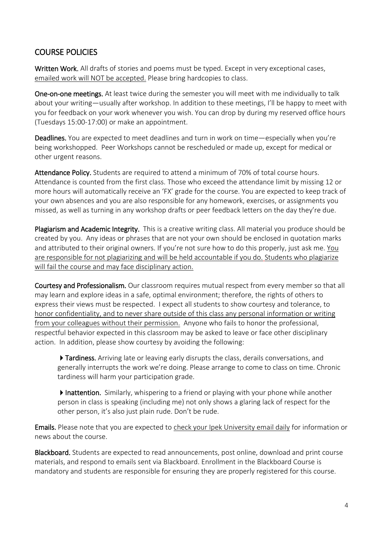## **COURSE POLICIES**

Written Work. All drafts of stories and poems must be typed. Except in very exceptional cases. emailed work will NOT be accepted. Please bring hardcopies to class.

One-on-one meetings. At least twice during the semester you will meet with me individually to talk about your writing—usually after workshop. In addition to these meetings, I'll be happy to meet with you for feedback on your work whenever you wish. You can drop by during my reserved office hours (Tuesdays 15:00-17:00) or make an appointment.

Deadlines. You are expected to meet deadlines and turn in work on time—especially when you're being workshopped. Peer Workshops cannot be rescheduled or made up, except for medical or other urgent reasons.

Attendance Policy. Students are required to attend a minimum of 70% of total course hours. Attendance is counted from the first class. Those who exceed the attendance limit by missing 12 or more hours will automatically receive an 'FX' grade for the course. You are expected to keep track of your own absences and you are also responsible for any homework, exercises, or assignments you missed, as well as turning in any workshop drafts or peer feedback letters on the day they're due.

Plagiarism and Academic Integrity. This is a creative writing class. All material you produce should be created by you. Any ideas or phrases that are not your own should be enclosed in quotation marks and attributed to their original owners. If you're not sure how to do this properly, just ask me. You are responsible for not plagiarizing and will be held accountable if you do. Students who plagiarize will fail the course and may face disciplinary action.

Courtesy and Professionalism. Our classroom requires mutual respect from every member so that all may learn and explore ideas in a safe, optimal environment; therefore, the rights of others to express their views must be respected. I expect all students to show courtesy and tolerance, to honor confidentiality, and to never share outside of this class any personal information or writing from your colleagues without their permission. Anyone who fails to honor the professional, respectful behavior expected in this classroom may be asked to leave or face other disciplinary action. In addition, please show courtesy by avoiding the following:

Tardiness. Arriving late or leaving early disrupts the class, derails conversations, and generally interrupts the work we're doing. Please arrange to come to class on time. Chronic tardiness will harm your participation grade.

Inattention. Similarly, whispering to a friend or playing with your phone while another person in class is speaking (including me) not only shows a glaring lack of respect for the other person, it's also just plain rude. Don't be rude.

Emails. Please note that you are expected to check your Ipek University email daily for information or news about the course.

Blackboard. Students are expected to read announcements, post online, download and print course materials, and respond to emails sent via Blackboard. Enrollment in the Blackboard Course is mandatory and students are responsible for ensuring they are properly registered for this course.